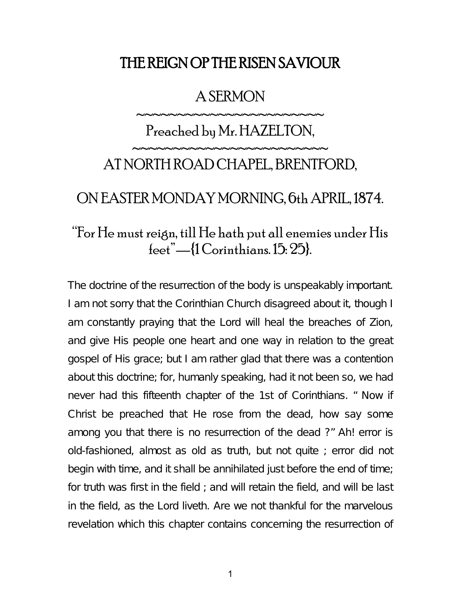## THE REIGN OP THE RISEN SAVIOUR

#### A SERMON

~~~~~~~~~~~~~~~~~~~~~

# Preached by Mr. HAZELTON, ~~~~~~~~~~~~~~~~~~~~~~~ AT NORTH ROAD CHAPEL, BRENTFORD,

#### ON EASTER MONDAY MORNING, 6th APRIL, 1874.

## "For He must reign, till He hath put all enemies under His feet"—{1 Corinthians. 15: 25}.

The doctrine of the resurrection of the body is unspeakably important. I am not sorry that the Corinthian Church disagreed about it, though I am constantly praying that the Lord will heal the breaches of Zion, and give His people one heart and one way in relation to the great gospel of His grace; but I am rather glad that there was a contention about this doctrine; for, humanly speaking, had it not been so, we had never had this fifteenth chapter of the 1st of Corinthians. " Now if Christ be preached that He rose from the dead, how say some among you that there is no resurrection of the dead ?" Ah! error is old-fashioned, almost as old as truth, but not quite ; error did not begin with time, and it shall be annihilated just before the end of time; for truth was first in the field ; and will retain the field, and will be last in the field, as the Lord liveth. Are we not thankful for the marvelous revelation which this chapter contains concerning the resurrection of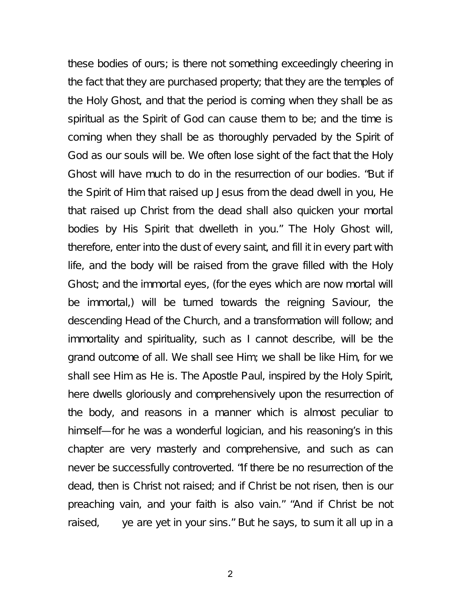these bodies of ours; is there not something exceedingly cheering in the fact that they are purchased property; that they are the temples of the Holy Ghost, and that the period is coming when they shall be as spiritual as the Spirit of God can cause them to be; and the time is coming when they shall be as thoroughly pervaded by the Spirit of God as our souls will be. We often lose sight of the fact that the Holy Ghost will have much to do in the resurrection of our bodies. "But if the Spirit of Him that raised up Jesus from the dead dwell in you, He that raised up Christ from the dead shall also quicken your mortal bodies by His Spirit that dwelleth in you." The Holy Ghost will, therefore, enter into the dust of every saint, and fill it in every part with life, and the body will be raised from the grave filled with the Holy Ghost; and the immortal eyes, (for the eyes which are now mortal will be immortal,) will be turned towards the reigning Saviour, the descending Head of the Church, and a transformation will follow; and immortality and spirituality, such as I cannot describe, will be the grand outcome of all. We shall see Him; we shall be like Him, for we shall see Him as He is. The Apostle Paul, inspired by the Holy Spirit, here dwells gloriously and comprehensively upon the resurrection of the body, and reasons in a manner which is almost peculiar to himself—for he was a wonderful logician, and his reasoning's in this chapter are very masterly and comprehensive, and such as can never be successfully controverted. "If there be no resurrection of the dead, then is Christ not raised; and if Christ be not risen, then is our preaching vain, and your faith is also vain." "And if Christ be not raised, ye are yet in your sins." But he says, to sum it all up in a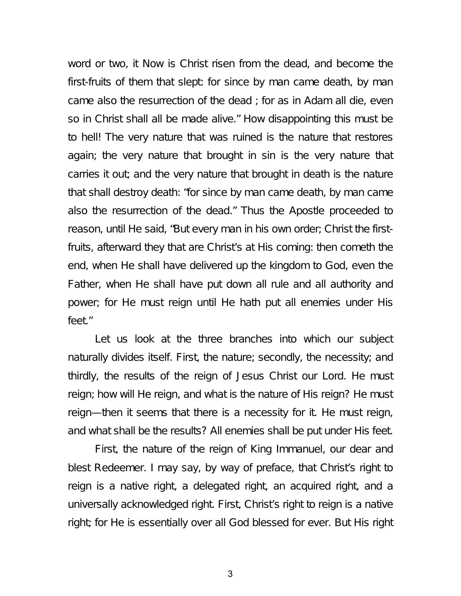word or two, it Now is Christ risen from the dead, and become the first-fruits of them that slept: for since by man came death, by man came also the resurrection of the dead ; for as in Adam all die, even so in Christ shall all be made alive." How disappointing this must be to hell! The very nature that was ruined is the nature that restores again; the very nature that brought in sin is the very nature that carries it out; and the very nature that brought in death is the nature that shall destroy death: "for since by man came death, by man came also the resurrection of the dead." Thus the Apostle proceeded to reason, until He said, "But every man in his own order; Christ the firstfruits, afterward they that are Christ's at His coming: then cometh the end, when He shall have delivered up the kingdom to God, even the Father, when He shall have put down all rule and all authority and power; for He must reign until He hath put all enemies under His feet."

Let us look at the three branches into which our subject naturally divides itself. First, the nature; secondly, the necessity; and thirdly, the results of the reign of Jesus Christ our Lord. He must reign; how will He reign, and what is the nature of His reign? He must reign—then it seems that there is a necessity for it. He must reign, and what shall be the results? All enemies shall be put under His feet.

First, the nature of the reign of King Immanuel, our dear and blest Redeemer. I may say, by way of preface, that Christ's right to reign is a native right, a delegated right, an acquired right, and a universally acknowledged right. First, Christ's right to reign is a native right; for He is essentially over all God blessed for ever. But His right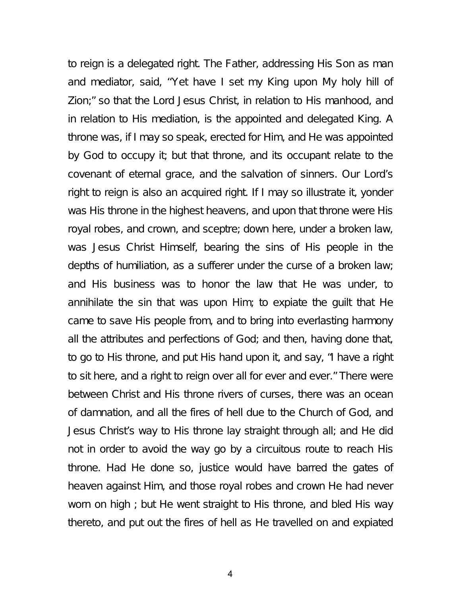to reign is a delegated right. The Father, addressing His Son as man and mediator, said, ''Yet have I set my King upon My holy hill of Zion;" so that the Lord Jesus Christ, in relation to His manhood, and in relation to His mediation, is the appointed and delegated King. A throne was, if I may so speak, erected for Him, and He was appointed by God to occupy it; but that throne, and its occupant relate to the covenant of eternal grace, and the salvation of sinners. Our Lord's right to reign is also an acquired right. If I may so illustrate it, yonder was His throne in the highest heavens, and upon that throne were His royal robes, and crown, and sceptre; down here, under a broken law, was Jesus Christ Himself, bearing the sins of His people in the depths of humiliation, as a sufferer under the curse of a broken law; and His business was to honor the law that He was under, to annihilate the sin that was upon Him; to expiate the guilt that He came to save His people from, and to bring into everlasting harmony all the attributes and perfections of God; and then, having done that, to go to His throne, and put His hand upon it, and say, "I have a right to sit here, and a right to reign over all for ever and ever." There were between Christ and His throne rivers of curses, there was an ocean of damnation, and all the fires of hell due to the Church of God, and Jesus Christ's way to His throne lay straight through all; and He did not in order to avoid the way go by a circuitous route to reach His throne. Had He done so, justice would have barred the gates of heaven against Him, and those royal robes and crown He had never worn on high ; but He went straight to His throne, and bled His way thereto, and put out the fires of hell as He travelled on and expiated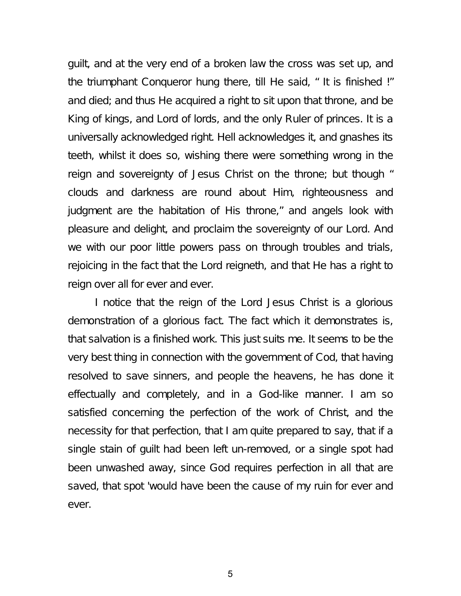guilt, and at the very end of a broken law the cross was set up, and the triumphant Conqueror hung there, till He said, " It is finished !" and died; and thus He acquired a right to sit upon that throne, and be King of kings, and Lord of lords, and the only Ruler of princes. It is a universally acknowledged right. Hell acknowledges it, and gnashes its teeth, whilst it does so, wishing there were something wrong in the reign and sovereignty of Jesus Christ on the throne; but though " clouds and darkness are round about Him, righteousness and judgment are the habitation of His throne," and angels look with pleasure and delight, and proclaim the sovereignty of our Lord. And we with our poor little powers pass on through troubles and trials, rejoicing in the fact that the Lord reigneth, and that He has a right to reign over all for ever and ever.

I notice that the reign of the Lord Jesus Christ is a glorious demonstration of a glorious fact. The fact which it demonstrates is, that salvation is a finished work. This just suits me. It seems to be the very best thing in connection with the government of Cod, that having resolved to save sinners, and people the heavens, he has done it effectually and completely, and in a God-like manner. I am so satisfied concerning the perfection of the work of Christ, and the necessity for that perfection, that I am quite prepared to say, that if a single stain of guilt had been left un-removed, or a single spot had been unwashed away, since God requires perfection in all that are saved, that spot 'would have been the cause of my ruin for ever and ever.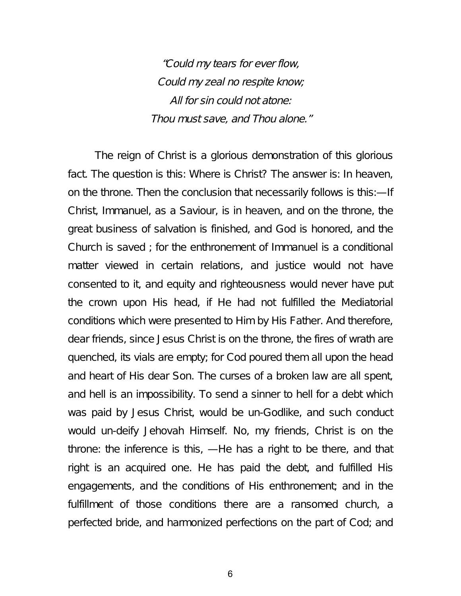"Could my tears for ever flow, Could my zeal no respite know; All for sin could not atone: Thou must save, and Thou alone."

The reign of Christ is a glorious demonstration of this glorious fact. The question is this: Where is Christ? The answer is: In heaven, on the throne. Then the conclusion that necessarily follows is this:—If Christ, Immanuel, as a Saviour, is in heaven, and on the throne, the great business of salvation is finished, and God is honored, and the Church is saved ; for the enthronement of Immanuel is a conditional matter viewed in certain relations, and justice would not have consented to it, and equity and righteousness would never have put the crown upon His head, if He had not fulfilled the Mediatorial conditions which were presented to Him by His Father. And therefore, dear friends, since Jesus Christ is on the throne, the fires of wrath are quenched, its vials are empty; for Cod poured them all upon the head and heart of His dear Son. The curses of a broken law are all spent, and hell is an impossibility. To send a sinner to hell for a debt which was paid by Jesus Christ, would be un-Godlike, and such conduct would un-deify Jehovah Himself. No, my friends, Christ is on the throne: the inference is this, —He has a right to be there, and that right is an acquired one. He has paid the debt, and fulfilled His engagements, and the conditions of His enthronement; and in the fulfillment of those conditions there are a ransomed church, a perfected bride, and harmonized perfections on the part of Cod; and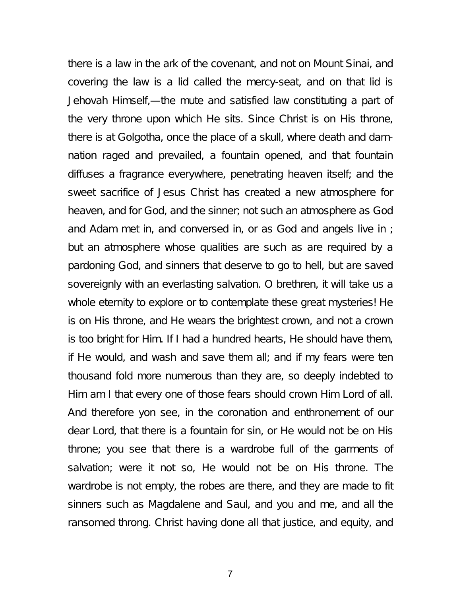there is a law in the ark of the covenant, and not on Mount Sinai, and covering the law is a lid called the mercy-seat, and on that lid is Jehovah Himself,—the mute and satisfied law constituting a part of the very throne upon which He sits. Since Christ is on His throne, there is at Golgotha, once the place of a skull, where death and damnation raged and prevailed, a fountain opened, and that fountain diffuses a fragrance everywhere, penetrating heaven itself; and the sweet sacrifice of Jesus Christ has created a new atmosphere for heaven, and for God, and the sinner; not such an atmosphere as God and Adam met in, and conversed in, or as God and angels live in ; but an atmosphere whose qualities are such as are required by a pardoning God, and sinners that deserve to go to hell, but are saved sovereignly with an everlasting salvation. O brethren, it will take us a whole eternity to explore or to contemplate these great mysteries! He is on His throne, and He wears the brightest crown, and not a crown is too bright for Him. If I had a hundred hearts, He should have them, if He would, and wash and save them all; and if my fears were ten thousand fold more numerous than they are, so deeply indebted to Him am I that every one of those fears should crown Him Lord of all. And therefore yon see, in the coronation and enthronement of our dear Lord, that there is a fountain for sin, or He would not be on His throne; you see that there is a wardrobe full of the garments of salvation; were it not so, He would not be on His throne. The wardrobe is not empty, the robes are there, and they are made to fit sinners such as Magdalene and Saul, and you and me, and all the ransomed throng. Christ having done all that justice, and equity, and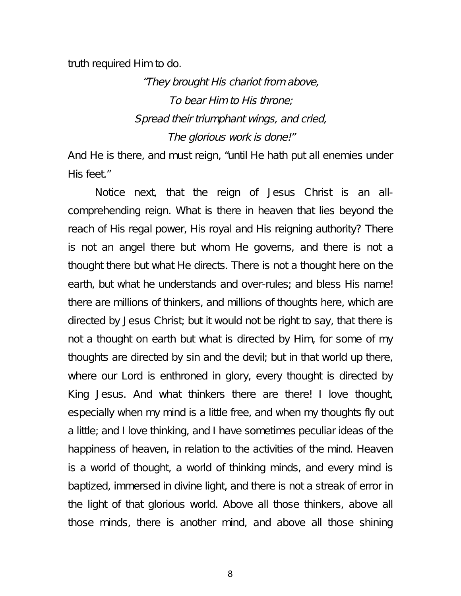truth required Him to do.

"They brought His chariot from above, To bear Him to His throne; Spread their triumphant wings, and cried, The glorious work is done!"

And He is there, and must reign, "until He hath put all enemies under His feet."

Notice next, that the reign of Jesus Christ is an allcomprehending reign. What is there in heaven that lies beyond the reach of His regal power, His royal and His reigning authority? There is not an angel there but whom He governs, and there is not a thought there but what He directs. There is not a thought here on the earth, but what he understands and over-rules; and bless His name! there are millions of thinkers, and millions of thoughts here, which are directed by Jesus Christ; but it would not be right to say, that there is not a thought on earth but what is directed by Him, for some of my thoughts are directed by sin and the devil; but in that world up there, where our Lord is enthroned in glory, every thought is directed by King Jesus. And what thinkers there are there! I love thought, especially when my mind is a little free, and when my thoughts fly out a little; and I love thinking, and I have sometimes peculiar ideas of the happiness of heaven, in relation to the activities of the mind. Heaven is a world of thought, a world of thinking minds, and every mind is baptized, immersed in divine light, and there is not a streak of error in the light of that glorious world. Above all those thinkers, above all those minds, there is another mind, and above all those shining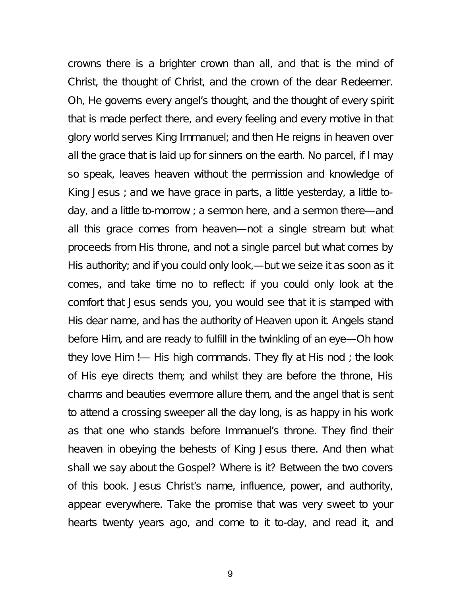crowns there is a brighter crown than all, and that is the mind of Christ, the thought of Christ, and the crown of the dear Redeemer. Oh, He governs every angel's thought, and the thought of every spirit that is made perfect there, and every feeling and every motive in that glory world serves King Immanuel; and then He reigns in heaven over all the grace that is laid up for sinners on the earth. No parcel, if I may so speak, leaves heaven without the permission and knowledge of King Jesus ; and we have grace in parts, a little yesterday, a little today, and a little to-morrow ; a sermon here, and a sermon there—and all this grace comes from heaven—not a single stream but what proceeds from His throne, and not a single parcel but what comes by His authority; and if you could only look,—but we seize it as soon as it comes, and take time no to reflect: if you could only look at the comfort that Jesus sends you, you would see that it is stamped with His dear name, and has the authority of Heaven upon it. Angels stand before Him, and are ready to fulfill in the twinkling of an eye—Oh how they love Him !— His high commands. They fly at His nod ; the look of His eye directs them; and whilst they are before the throne, His charms and beauties evermore allure them, and the angel that is sent to attend a crossing sweeper all the day long, is as happy in his work as that one who stands before Immanuel's throne. They find their heaven in obeying the behests of King Jesus there. And then what shall we say about the Gospel? Where is it? Between the two covers of this book. Jesus Christ's name, influence, power, and authority, appear everywhere. Take the promise that was very sweet to your hearts twenty years ago, and come to it to-day, and read it, and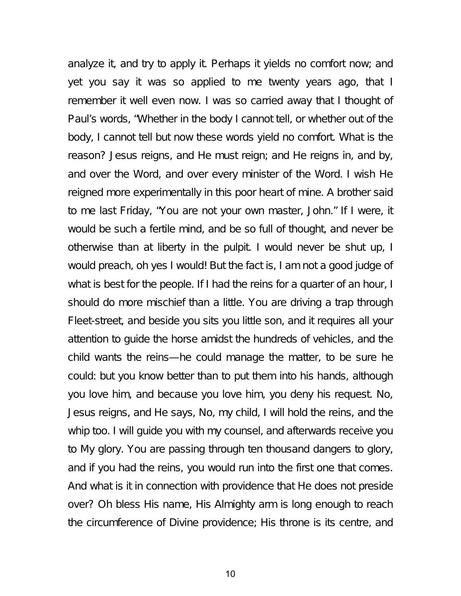analyze it, and try to apply it. Perhaps it yields no comfort now; and yet you say it was so applied to me twenty years ago, that I remember it well even now. I was so carried away that I thought of Paul's words, "Whether in the body I cannot tell, or whether out of the body, I cannot tell but now these words yield no comfort. What is the reason? Jesus reigns, and He must reign; and He reigns in, and by, and over the Word, and over every minister of the Word. I wish He reigned more experimentally in this poor heart of mine. A brother said to me last Friday, "You are not your own master, John." If I were, it would be such a fertile mind, and be so full of thought, and never be otherwise than at liberty in the pulpit. I would never be shut up, I would preach, oh yes I would! But the fact is, I am not a good judge of what is best for the people. If I had the reins for a quarter of an hour, I should do more mischief than a little. You are driving a trap through Fleet-street, and beside you sits you little son, and it requires all your attention to guide the horse amidst the hundreds of vehicles, and the child wants the reins—he could manage the matter, to be sure he could: but you know better than to put them into his hands, although you love him, and because you love him, you deny his request. No, Jesus reigns, and He says, No, my child, I will hold the reins, and the whip too. I will guide you with my counsel, and afterwards receive you to My glory. You are passing through ten thousand dangers to glory, and if you had the reins, you would run into the first one that comes. And what is it in connection with providence that He does not preside over? Oh bless His name, His Almighty arm is long enough to reach the circumference of Divine providence; His throne is its centre, and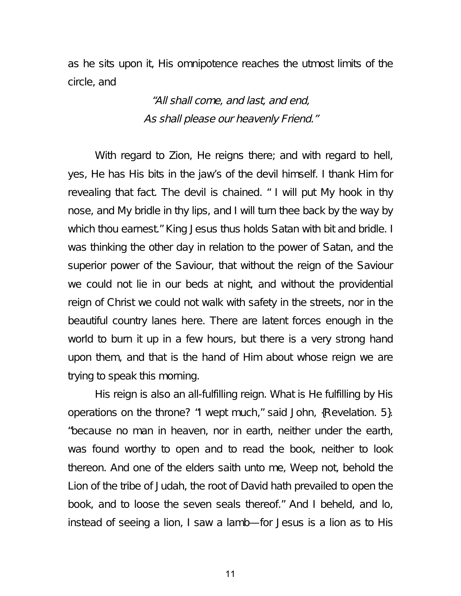as he sits upon it, His omnipotence reaches the utmost limits of the circle, and

> "All shall come, and last, and end, As shall please our heavenly Friend."

With regard to Zion, He reigns there; and with regard to hell, yes, He has His bits in the jaw's of the devil himself. I thank Him for revealing that fact. The devil is chained. " I will put My hook in thy nose, and My bridle in thy lips, and I will turn thee back by the way by which thou earnest." King Jesus thus holds Satan with bit and bridle. I was thinking the other day in relation to the power of Satan, and the superior power of the Saviour, that without the reign of the Saviour we could not lie in our beds at night, and without the providential reign of Christ we could not walk with safety in the streets, nor in the beautiful country lanes here. There are latent forces enough in the world to burn it up in a few hours, but there is a very strong hand upon them, and that is the hand of Him about whose reign we are trying to speak this morning.

His reign is also an all-fulfilling reign. What is He fulfilling by His operations on the throne? "I wept much," said John, {Revelation. 5}. "because no man in heaven, nor in earth, neither under the earth, was found worthy to open and to read the book, neither to look thereon. And one of the elders saith unto me, Weep not, behold the Lion of the tribe of Judah, the root of David hath prevailed to open the book, and to loose the seven seals thereof." And I beheld, and lo, instead of seeing a lion, I saw a lamb—for Jesus is a lion as to His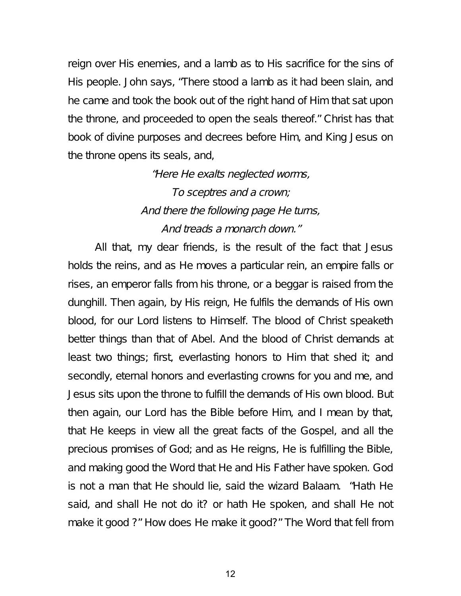reign over His enemies, and a lamb as to His sacrifice for the sins of His people. John says, "There stood a lamb as it had been slain, and he came and took the book out of the right hand of Him that sat upon the throne, and proceeded to open the seals thereof." Christ has that book of divine purposes and decrees before Him, and King Jesus on the throne opens its seals, and,

> "Here He exalts neglected worms, To sceptres and <sup>a</sup> crown; And there the following page He turns, And treads <sup>a</sup> monarch down."

All that, my dear friends, is the result of the fact that Jesus holds the reins, and as He moves a particular rein, an empire falls or rises, an emperor falls from his throne, or a beggar is raised from the dunghill. Then again, by His reign, He fulfils the demands of His own blood, for our Lord listens to Himself. The blood of Christ speaketh better things than that of Abel. And the blood of Christ demands at least two things; first, everlasting honors to Him that shed it; and secondly, eternal honors and everlasting crowns for you and me, and Jesus sits upon the throne to fulfill the demands of His own blood. But then again, our Lord has the Bible before Him, and I mean by that, that He keeps in view all the great facts of the Gospel, and all the precious promises of God; and as He reigns, He is fulfilling the Bible, and making good the Word that He and His Father have spoken. God is not a man that He should lie, said the wizard Balaam. "Hath He said, and shall He not do it? or hath He spoken, and shall He not make it good ?" How does He make it good?" The Word that fell from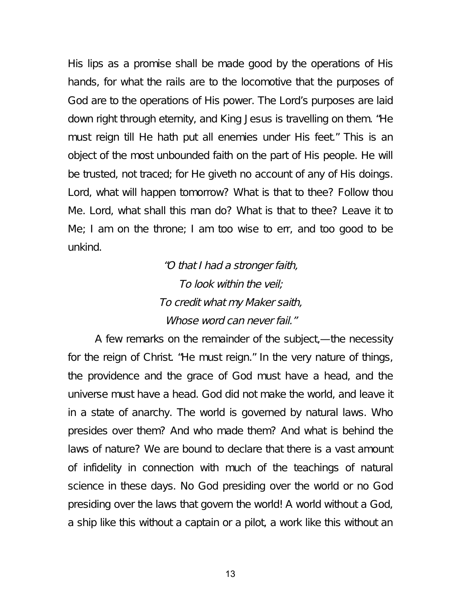His lips as a promise shall be made good by the operations of His hands, for what the rails are to the locomotive that the purposes of God are to the operations of His power. The Lord's purposes are laid down right through eternity, and King Jesus is travelling on them. "He must reign till He hath put all enemies under His feet." This is an object of the most unbounded faith on the part of His people. He will be trusted, not traced; for He giveth no account of any of His doings. Lord, what will happen tomorrow? What is that to thee? Follow thou Me. Lord, what shall this man do? What is that to thee? Leave it to Me; I am on the throne; I am too wise to err, and too good to be unkind.

> "O that <sup>I</sup> had <sup>a</sup> stronger faith, To look within the veil; To credit what my Maker saith, Whose word can never fail."

A few remarks on the remainder of the subject,—the necessity for the reign of Christ. "He must reign." In the very nature of things, the providence and the grace of God must have a head, and the universe must have a head. God did not make the world, and leave it in a state of anarchy. The world is governed by natural laws. Who presides over them? And who made them? And what is behind the laws of nature? We are bound to declare that there is a vast amount of infidelity in connection with much of the teachings of natural science in these days. No God presiding over the world or no God presiding over the laws that govern the world! A world without a God, a ship like this without a captain or a pilot, a work like this without an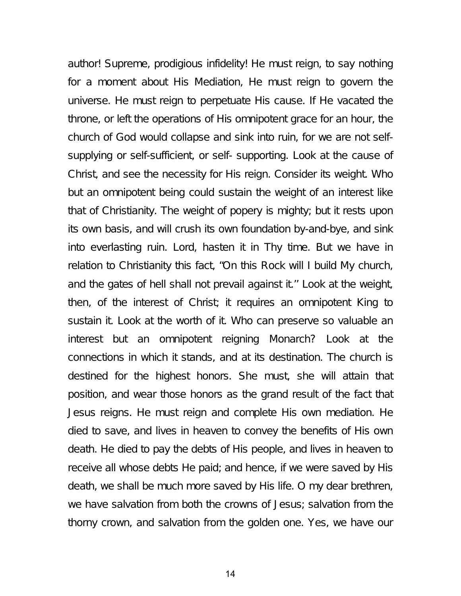author! Supreme, prodigious infidelity! He must reign, to say nothing for a moment about His Mediation, He must reign to govern the universe. He must reign to perpetuate His cause. If He vacated the throne, or left the operations of His omnipotent grace for an hour, the church of God would collapse and sink into ruin, for we are not selfsupplying or self-sufficient, or self- supporting. Look at the cause of Christ, and see the necessity for His reign. Consider its weight. Who but an omnipotent being could sustain the weight of an interest like that of Christianity. The weight of popery is mighty; but it rests upon its own basis, and will crush its own foundation by-and-bye, and sink into everlasting ruin. Lord, hasten it in Thy time. But we have in relation to Christianity this fact, "On this Rock will I build My church, and the gates of hell shall not prevail against it.'' Look at the weight, then, of the interest of Christ; it requires an omnipotent King to sustain it. Look at the worth of it. Who can preserve so valuable an interest but an omnipotent reigning Monarch? Look at the connections in which it stands, and at its destination. The church is destined for the highest honors. She must, she will attain that position, and wear those honors as the grand result of the fact that Jesus reigns. He must reign and complete His own mediation. He died to save, and lives in heaven to convey the benefits of His own death. He died to pay the debts of His people, and lives in heaven to receive all whose debts He paid; and hence, if we were saved by His death, we shall be much more saved by His life. O my dear brethren, we have salvation from both the crowns of Jesus; salvation from the thorny crown, and salvation from the golden one. Yes, we have our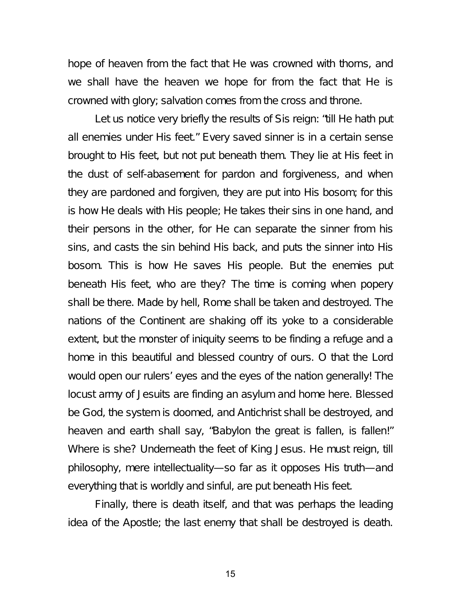hope of heaven from the fact that He was crowned with thorns, and we shall have the heaven we hope for from the fact that He is crowned with glory; salvation comes from the cross and throne.

Let us notice very briefly the results of Sis reign: "till He hath put all enemies under His feet." Every saved sinner is in a certain sense brought to His feet, but not put beneath them. They lie at His feet in the dust of self-abasement for pardon and forgiveness, and when they are pardoned and forgiven, they are put into His bosom; for this is how He deals with His people; He takes their sins in one hand, and their persons in the other, for He can separate the sinner from his sins, and casts the sin behind His back, and puts the sinner into His bosom. This is how He saves His people. But the enemies put beneath His feet, who are they? The time is coming when popery shall be there. Made by hell, Rome shall be taken and destroyed. The nations of the Continent are shaking off its yoke to a considerable extent, but the monster of iniquity seems to be finding a refuge and a home in this beautiful and blessed country of ours. O that the Lord would open our rulers' eyes and the eyes of the nation generally! The locust army of Jesuits are finding an asylum and home here. Blessed be God, the system is doomed, and Antichrist shall be destroyed, and heaven and earth shall say, "Babylon the great is fallen, is fallen!" Where is she? Underneath the feet of King Jesus. He must reign, till philosophy, mere intellectuality—so far as it opposes His truth—and everything that is worldly and sinful, are put beneath His feet.

Finally, there is death itself, and that was perhaps the leading idea of the Apostle; the last enemy that shall be destroyed is death.